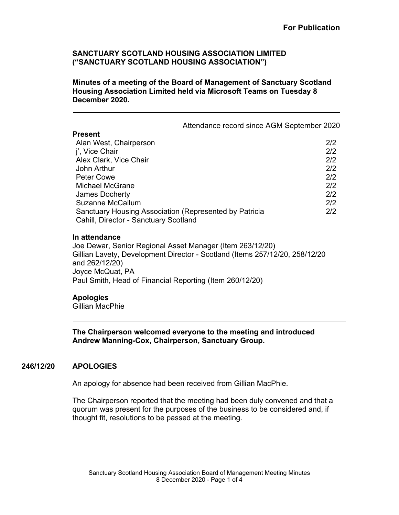**Minutes of a meeting of the Board of Management of Sanctuary Scotland Housing Association Limited held via Microsoft Teams on Tuesday 8 December 2020.**

|  | Attendance record since AGM September 2020 |
|--|--------------------------------------------|
|--|--------------------------------------------|

#### **Present**

| .                                                      |     |
|--------------------------------------------------------|-----|
| Alan West, Chairperson                                 | 2/2 |
| j', Vice Chair                                         | 2/2 |
| Alex Clark, Vice Chair                                 | 2/2 |
| John Arthur                                            | 2/2 |
| <b>Peter Cowe</b>                                      | 2/2 |
| <b>Michael McGrane</b>                                 | 2/2 |
| James Docherty                                         | 2/2 |
| <b>Suzanne McCallum</b>                                | 2/2 |
| Sanctuary Housing Association (Represented by Patricia | 2/2 |
| Cahill, Director - Sanctuary Scotland                  |     |
|                                                        |     |

#### **In attendance**

Joe Dewar, Senior Regional Asset Manager (Item 263/12/20) Gillian Lavety, Development Director - Scotland (Items 257/12/20, 258/12/20 and 262/12/20) Joyce McQuat, PA Paul Smith, Head of Financial Reporting (Item 260/12/20)

### **Apologies**

Gillian MacPhie

**The Chairperson welcomed everyone to the meeting and introduced Andrew Manning-Cox, Chairperson, Sanctuary Group.**

# **246/12/20 APOLOGIES**

An apology for absence had been received from Gillian MacPhie.

The Chairperson reported that the meeting had been duly convened and that a quorum was present for the purposes of the business to be considered and, if thought fit, resolutions to be passed at the meeting.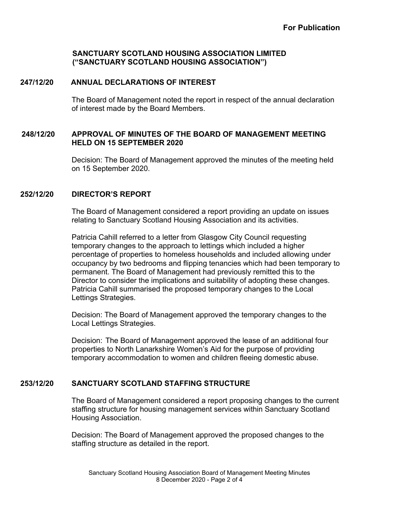# **247/12/20 ANNUAL DECLARATIONS OF INTEREST**

The Board of Management noted the report in respect of the annual declaration of interest made by the Board Members.

# **248/12/20 APPROVAL OF MINUTES OF THE BOARD OF MANAGEMENT MEETING HELD ON 15 SEPTEMBER 2020**

Decision: The Board of Management approved the minutes of the meeting held on 15 September 2020.

# **252/12/20 DIRECTOR'S REPORT**

The Board of Management considered a report providing an update on issues relating to Sanctuary Scotland Housing Association and its activities.

Patricia Cahill referred to a letter from Glasgow City Council requesting temporary changes to the approach to lettings which included a higher percentage of properties to homeless households and included allowing under occupancy by two bedrooms and flipping tenancies which had been temporary to permanent. The Board of Management had previously remitted this to the Director to consider the implications and suitability of adopting these changes. Patricia Cahill summarised the proposed temporary changes to the Local Lettings Strategies.

Decision: The Board of Management approved the temporary changes to the Local Lettings Strategies.

Decision: The Board of Management approved the lease of an additional four properties to North Lanarkshire Women's Aid for the purpose of providing temporary accommodation to women and children fleeing domestic abuse.

# **253/12/20 SANCTUARY SCOTLAND STAFFING STRUCTURE**

The Board of Management considered a report proposing changes to the current staffing structure for housing management services within Sanctuary Scotland Housing Association.

Decision: The Board of Management approved the proposed changes to the staffing structure as detailed in the report.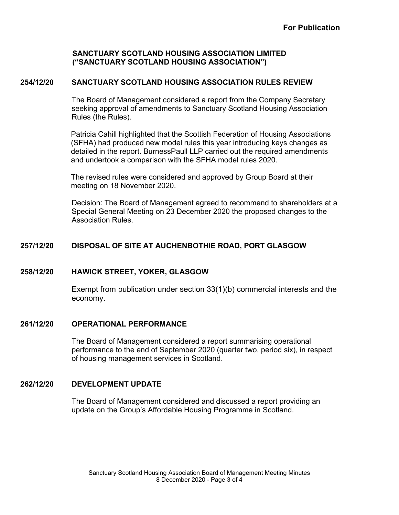# **254/12/20 SANCTUARY SCOTLAND HOUSING ASSOCIATION RULES REVIEW**

The Board of Management considered a report from the Company Secretary seeking approval of amendments to Sanctuary Scotland Housing Association Rules (the Rules).

Patricia Cahill highlighted that the Scottish Federation of Housing Associations (SFHA) had produced new model rules this year introducing keys changes as detailed in the report. BurnessPaull LLP carried out the required amendments and undertook a comparison with the SFHA model rules 2020.

The revised rules were considered and approved by Group Board at their meeting on 18 November 2020.

Decision: The Board of Management agreed to recommend to shareholders at a Special General Meeting on 23 December 2020 the proposed changes to the Association Rules.

# **257/12/20 DISPOSAL OF SITE AT AUCHENBOTHIE ROAD, PORT GLASGOW**

### **258/12/20 HAWICK STREET, YOKER, GLASGOW**

Exempt from publication under section 33(1)(b) commercial interests and the economy.

### **261/12/20 OPERATIONAL PERFORMANCE**

The Board of Management considered a report summarising operational performance to the end of September 2020 (quarter two, period six), in respect of housing management services in Scotland.

### **262/12/20 DEVELOPMENT UPDATE**

The Board of Management considered and discussed a report providing an update on the Group's Affordable Housing Programme in Scotland.